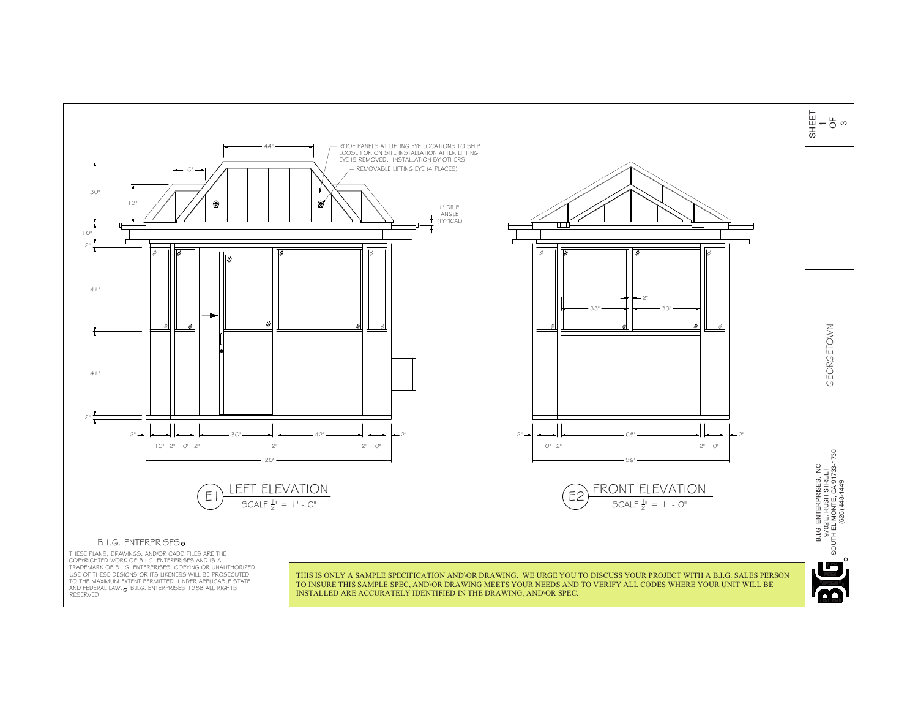

AND FEDERAL LAW. @ B.I.G. ENTERPRISES 1988 ALL RIGHTS THESE PLANS, DRAWINGS, AND/OR CADD FILES ARE THE<br>COPYRIGHTED WORK OF B.I.G. ENTERPRISES AND IS A<br>TRADEMARK OF B.I.G. ENTERPRISES. COPYING OR UNAUTHORIZED USE OF THESE DESIGNS OR ITS LIKENESS WILL BE PROSECUTED TO THE MAXIMUM EXTENT PERMITTED UNDER APPLICABLE STATE RESERVED

THIS IS ONLY A SAMPLE SPECIFICATION AND\OR DRAWING. WE URGE YOU TO DISCUSS YOUR PROJECT WITH A B.I.G. SALES PERSON TO INSURE THIS SAMPLE SPEC, AND\OR DRAWING MEETS YOUR NEEDS AND TO VERIFY ALL CODES WHERE YOUR UNIT WILL BE INSTALLED ARE ACCURATELY IDENTIFIED IN THE DRAWING, AND\OR SPEC.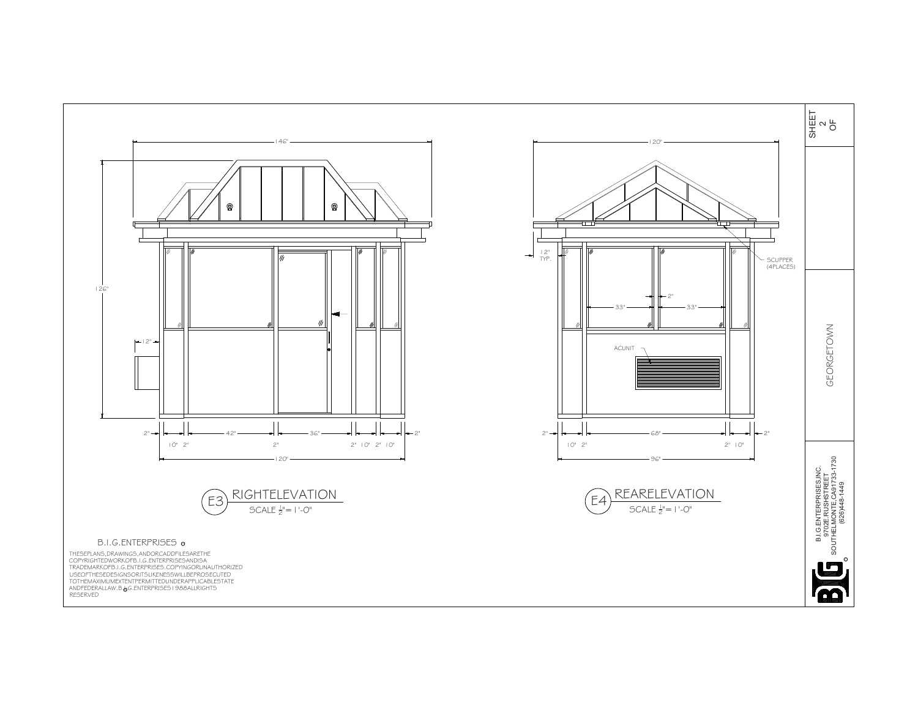